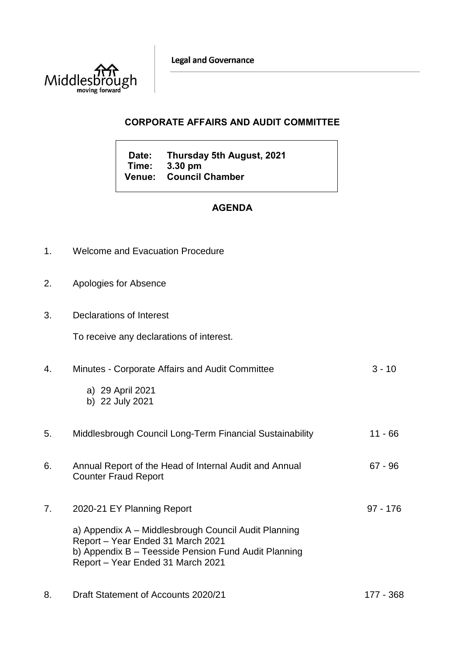**Legal and Governance** 



## **CORPORATE AFFAIRS AND AUDIT COMMITTEE**

**Date: Thursday 5th August, 2021 Time: 3.30 pm Venue: Council Chamber**

## **AGENDA**

- 1. Welcome and Evacuation Procedure
- 2. Apologies for Absence
- 3. Declarations of Interest

To receive any declarations of interest.

| 4. | Minutes - Corporate Affairs and Audit Committee                                                                                                                                        | $3 - 10$   |
|----|----------------------------------------------------------------------------------------------------------------------------------------------------------------------------------------|------------|
|    | a) 29 April 2021<br>b) 22 July 2021                                                                                                                                                    |            |
| 5. | Middlesbrough Council Long-Term Financial Sustainability                                                                                                                               | 11 - 66    |
| 6. | Annual Report of the Head of Internal Audit and Annual<br><b>Counter Fraud Report</b>                                                                                                  | 67 - 96    |
| 7. | 2020-21 EY Planning Report                                                                                                                                                             | $97 - 176$ |
|    | a) Appendix A - Middlesbrough Council Audit Planning<br>Report – Year Ended 31 March 2021<br>b) Appendix B – Teesside Pension Fund Audit Planning<br>Report - Year Ended 31 March 2021 |            |
| 8. | Draft Statement of Accounts 2020/21                                                                                                                                                    | 177 - 368  |